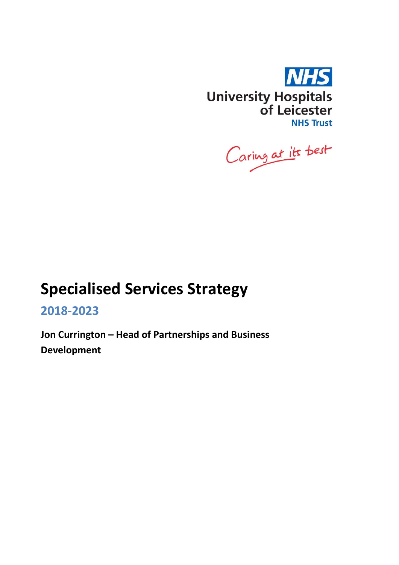

Caring at its best

# Specialised Services Strategy

2018-2023

Jon Currington – Head of Partnerships and Business Development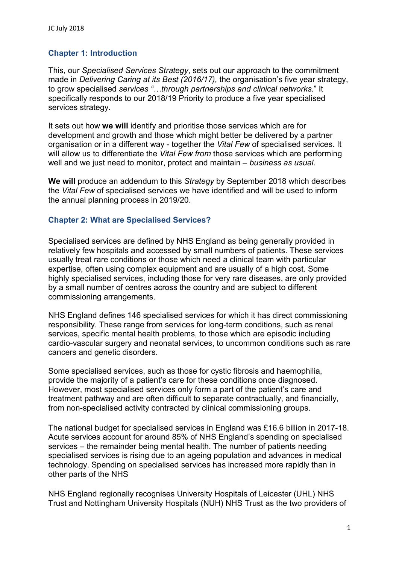# Chapter 1: Introduction

This, our Specialised Services Strategy, sets out our approach to the commitment made in Delivering Caring at its Best (2016/17), the organisation's five year strategy, to grow specialised services "...through partnerships and clinical networks." It specifically responds to our 2018/19 Priority to produce a five year specialised services strategy.

It sets out how we will identify and prioritise those services which are for development and growth and those which might better be delivered by a partner organisation or in a different way - together the Vital Few of specialised services. It will allow us to differentiate the Vital Few from those services which are performing well and we just need to monitor, protect and maintain – business as usual.

We will produce an addendum to this Strategy by September 2018 which describes the Vital Few of specialised services we have identified and will be used to inform the annual planning process in 2019/20.

#### Chapter 2: What are Specialised Services?

Specialised services are defined by NHS England as being generally provided in relatively few hospitals and accessed by small numbers of patients. These services usually treat rare conditions or those which need a clinical team with particular expertise, often using complex equipment and are usually of a high cost. Some highly specialised services, including those for very rare diseases, are only provided by a small number of centres across the country and are subject to different commissioning arrangements.

NHS England defines 146 specialised services for which it has direct commissioning responsibility. These range from services for long-term conditions, such as renal services, specific mental health problems, to those which are episodic including cardio-vascular surgery and neonatal services, to uncommon conditions such as rare cancers and genetic disorders.

Some specialised services, such as those for cystic fibrosis and haemophilia, provide the majority of a patient's care for these conditions once diagnosed. However, most specialised services only form a part of the patient's care and treatment pathway and are often difficult to separate contractually, and financially, from non-specialised activity contracted by clinical commissioning groups.

The national budget for specialised services in England was £16.6 billion in 2017-18. Acute services account for around 85% of NHS England's spending on specialised services – the remainder being mental health. The number of patients needing specialised services is rising due to an ageing population and advances in medical technology. Spending on specialised services has increased more rapidly than in other parts of the NHS

NHS England regionally recognises University Hospitals of Leicester (UHL) NHS Trust and Nottingham University Hospitals (NUH) NHS Trust as the two providers of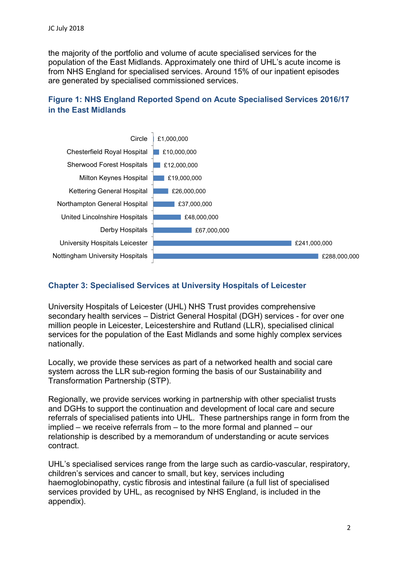the majority of the portfolio and volume of acute specialised services for the population of the East Midlands. Approximately one third of UHL's acute income is from NHS England for specialised services. Around 15% of our inpatient episodes are generated by specialised commissioned services.

# Figure 1: NHS England Reported Spend on Acute Specialised Services 2016/17 in the East Midlands



# Chapter 3: Specialised Services at University Hospitals of Leicester

University Hospitals of Leicester (UHL) NHS Trust provides comprehensive secondary health services – District General Hospital (DGH) services - for over one million people in Leicester, Leicestershire and Rutland (LLR), specialised clinical services for the population of the East Midlands and some highly complex services nationally.

Locally, we provide these services as part of a networked health and social care system across the LLR sub-region forming the basis of our Sustainability and Transformation Partnership (STP).

Regionally, we provide services working in partnership with other specialist trusts and DGHs to support the continuation and development of local care and secure referrals of specialised patients into UHL. These partnerships range in form from the implied – we receive referrals from – to the more formal and planned – our relationship is described by a memorandum of understanding or acute services contract.

UHL's specialised services range from the large such as cardio-vascular, respiratory, children's services and cancer to small, but key, services including haemoglobinopathy, cystic fibrosis and intestinal failure (a full list of specialised services provided by UHL, as recognised by NHS England, is included in the appendix).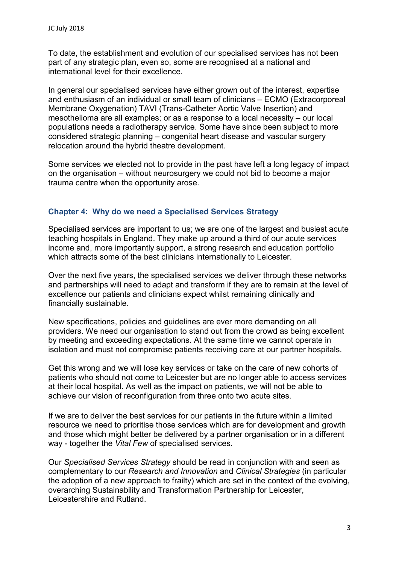To date, the establishment and evolution of our specialised services has not been part of any strategic plan, even so, some are recognised at a national and international level for their excellence.

In general our specialised services have either grown out of the interest, expertise and enthusiasm of an individual or small team of clinicians – ECMO (Extracorporeal Membrane Oxygenation) TAVI (Trans-Catheter Aortic Valve Insertion) and mesothelioma are all examples; or as a response to a local necessity – our local populations needs a radiotherapy service. Some have since been subject to more considered strategic planning – congenital heart disease and vascular surgery relocation around the hybrid theatre development.

Some services we elected not to provide in the past have left a long legacy of impact on the organisation – without neurosurgery we could not bid to become a major trauma centre when the opportunity arose.

#### Chapter 4: Why do we need a Specialised Services Strategy

Specialised services are important to us; we are one of the largest and busiest acute teaching hospitals in England. They make up around a third of our acute services income and, more importantly support, a strong research and education portfolio which attracts some of the best clinicians internationally to Leicester.

Over the next five years, the specialised services we deliver through these networks and partnerships will need to adapt and transform if they are to remain at the level of excellence our patients and clinicians expect whilst remaining clinically and financially sustainable.

New specifications, policies and guidelines are ever more demanding on all providers. We need our organisation to stand out from the crowd as being excellent by meeting and exceeding expectations. At the same time we cannot operate in isolation and must not compromise patients receiving care at our partner hospitals.

Get this wrong and we will lose key services or take on the care of new cohorts of patients who should not come to Leicester but are no longer able to access services at their local hospital. As well as the impact on patients, we will not be able to achieve our vision of reconfiguration from three onto two acute sites.

If we are to deliver the best services for our patients in the future within a limited resource we need to prioritise those services which are for development and growth and those which might better be delivered by a partner organisation or in a different way - together the Vital Few of specialised services.

Our Specialised Services Strategy should be read in conjunction with and seen as complementary to our Research and Innovation and Clinical Strategies (in particular the adoption of a new approach to frailty) which are set in the context of the evolving, overarching Sustainability and Transformation Partnership for Leicester, Leicestershire and Rutland.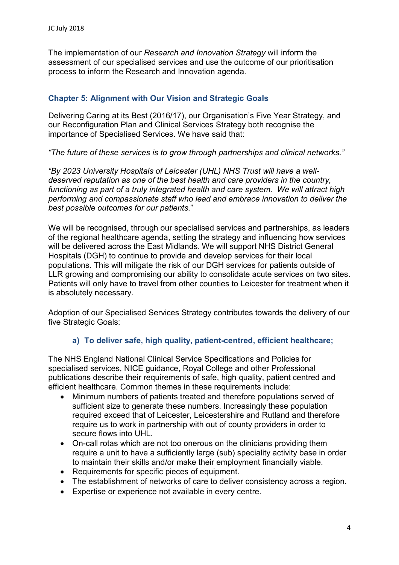The implementation of our Research and Innovation Strategy will inform the assessment of our specialised services and use the outcome of our prioritisation process to inform the Research and Innovation agenda.

# Chapter 5: Alignment with Our Vision and Strategic Goals

Delivering Caring at its Best (2016/17), our Organisation's Five Year Strategy, and our Reconfiguration Plan and Clinical Services Strategy both recognise the importance of Specialised Services. We have said that:

"The future of these services is to grow through partnerships and clinical networks."

"By 2023 University Hospitals of Leicester (UHL) NHS Trust will have a welldeserved reputation as one of the best health and care providers in the country, functioning as part of a truly integrated health and care system. We will attract high performing and compassionate staff who lead and embrace innovation to deliver the best possible outcomes for our patients."

We will be recognised, through our specialised services and partnerships, as leaders of the regional healthcare agenda, setting the strategy and influencing how services will be delivered across the East Midlands. We will support NHS District General Hospitals (DGH) to continue to provide and develop services for their local populations. This will mitigate the risk of our DGH services for patients outside of LLR growing and compromising our ability to consolidate acute services on two sites. Patients will only have to travel from other counties to Leicester for treatment when it is absolutely necessary.

Adoption of our Specialised Services Strategy contributes towards the delivery of our five Strategic Goals:

#### a) To deliver safe, high quality, patient-centred, efficient healthcare;

The NHS England National Clinical Service Specifications and Policies for specialised services, NICE guidance, Royal College and other Professional publications describe their requirements of safe, high quality, patient centred and efficient healthcare. Common themes in these requirements include:

- Minimum numbers of patients treated and therefore populations served of sufficient size to generate these numbers. Increasingly these population required exceed that of Leicester, Leicestershire and Rutland and therefore require us to work in partnership with out of county providers in order to secure flows into UHL.
- On-call rotas which are not too onerous on the clinicians providing them require a unit to have a sufficiently large (sub) speciality activity base in order to maintain their skills and/or make their employment financially viable.
- Requirements for specific pieces of equipment.
- The establishment of networks of care to deliver consistency across a region.
- Expertise or experience not available in every centre.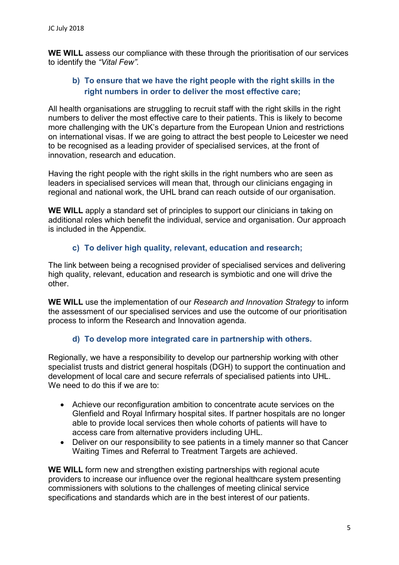WE WILL assess our compliance with these through the prioritisation of our services to identify the "Vital Few".

#### b) To ensure that we have the right people with the right skills in the right numbers in order to deliver the most effective care;

All health organisations are struggling to recruit staff with the right skills in the right numbers to deliver the most effective care to their patients. This is likely to become more challenging with the UK's departure from the European Union and restrictions on international visas. If we are going to attract the best people to Leicester we need to be recognised as a leading provider of specialised services, at the front of innovation, research and education.

Having the right people with the right skills in the right numbers who are seen as leaders in specialised services will mean that, through our clinicians engaging in regional and national work, the UHL brand can reach outside of our organisation.

WE WILL apply a standard set of principles to support our clinicians in taking on additional roles which benefit the individual, service and organisation. Our approach is included in the Appendix.

#### c) To deliver high quality, relevant, education and research;

The link between being a recognised provider of specialised services and delivering high quality, relevant, education and research is symbiotic and one will drive the other.

WE WILL use the implementation of our Research and Innovation Strategy to inform the assessment of our specialised services and use the outcome of our prioritisation process to inform the Research and Innovation agenda.

#### d) To develop more integrated care in partnership with others.

Regionally, we have a responsibility to develop our partnership working with other specialist trusts and district general hospitals (DGH) to support the continuation and development of local care and secure referrals of specialised patients into UHL. We need to do this if we are to:

- Achieve our reconfiguration ambition to concentrate acute services on the Glenfield and Royal Infirmary hospital sites. If partner hospitals are no longer able to provide local services then whole cohorts of patients will have to access care from alternative providers including UHL.
- Deliver on our responsibility to see patients in a timely manner so that Cancer Waiting Times and Referral to Treatment Targets are achieved.

WE WILL form new and strengthen existing partnerships with regional acute providers to increase our influence over the regional healthcare system presenting commissioners with solutions to the challenges of meeting clinical service specifications and standards which are in the best interest of our patients.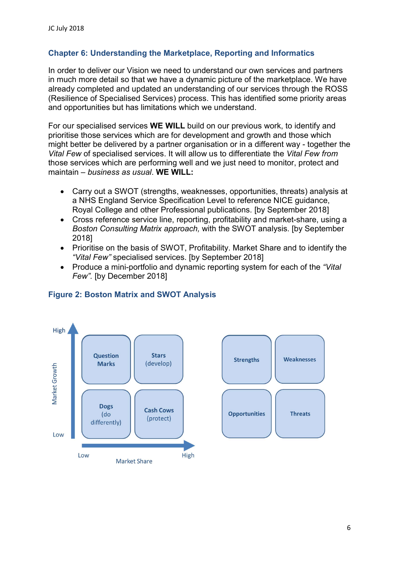# Chapter 6: Understanding the Marketplace, Reporting and Informatics

In order to deliver our Vision we need to understand our own services and partners in much more detail so that we have a dynamic picture of the marketplace. We have already completed and updated an understanding of our services through the ROSS (Resilience of Specialised Services) process. This has identified some priority areas and opportunities but has limitations which we understand.

For our specialised services WE WILL build on our previous work, to identify and prioritise those services which are for development and growth and those which might better be delivered by a partner organisation or in a different way - together the Vital Few of specialised services. It will allow us to differentiate the Vital Few from those services which are performing well and we just need to monitor, protect and maintain – business as usual. WE WILL:

- Carry out a SWOT (strengths, weaknesses, opportunities, threats) analysis at a NHS England Service Specification Level to reference NICE guidance, Royal College and other Professional publications. [by September 2018]
- Cross reference service line, reporting, profitability and market-share, using a Boston Consulting Matrix approach, with the SWOT analysis. [by September 2018]
- Prioritise on the basis of SWOT, Profitability. Market Share and to identify the "Vital Few" specialised services. [by September 2018]
- Produce a mini-portfolio and dynamic reporting system for each of the "Vital" Few". [by December 2018]



#### Figure 2: Boston Matrix and SWOT Analysis

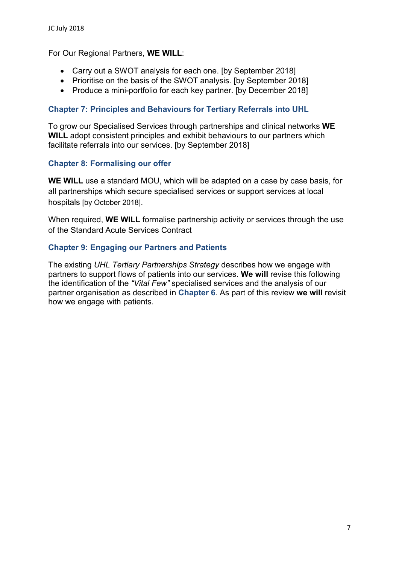For Our Regional Partners, WE WILL:

- Carry out a SWOT analysis for each one. [by September 2018]
- Prioritise on the basis of the SWOT analysis. [by September 2018]
- Produce a mini-portfolio for each key partner. [by December 2018]

#### Chapter 7: Principles and Behaviours for Tertiary Referrals into UHL

To grow our Specialised Services through partnerships and clinical networks WE WILL adopt consistent principles and exhibit behaviours to our partners which facilitate referrals into our services. [by September 2018]

#### Chapter 8: Formalising our offer

WE WILL use a standard MOU, which will be adapted on a case by case basis, for all partnerships which secure specialised services or support services at local hospitals [by October 2018].

When required, WE WILL formalise partnership activity or services through the use of the Standard Acute Services Contract

#### Chapter 9: Engaging our Partners and Patients

The existing UHL Tertiary Partnerships Strategy describes how we engage with partners to support flows of patients into our services. We will revise this following the identification of the "Vital Few" specialised services and the analysis of our partner organisation as described in Chapter 6. As part of this review we will revisit how we engage with patients.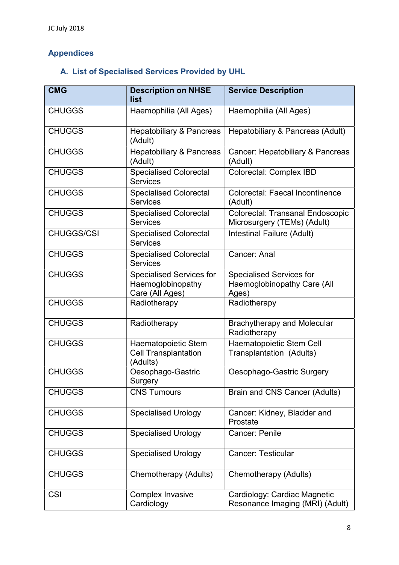# Appendices

# A. List of Specialised Services Provided by UHL

| <b>CMG</b>        | <b>Description on NHSE</b><br>list                                      | <b>Service Description</b>                                              |
|-------------------|-------------------------------------------------------------------------|-------------------------------------------------------------------------|
| <b>CHUGGS</b>     | Haemophilia (All Ages)                                                  | Haemophilia (All Ages)                                                  |
| <b>CHUGGS</b>     | <b>Hepatobiliary &amp; Pancreas</b><br>(Adult)                          | Hepatobiliary & Pancreas (Adult)                                        |
| <b>CHUGGS</b>     | <b>Hepatobiliary &amp; Pancreas</b><br>(Adult)                          | Cancer: Hepatobiliary & Pancreas<br>(Adult)                             |
| <b>CHUGGS</b>     | <b>Specialised Colorectal</b><br><b>Services</b>                        | Colorectal: Complex IBD                                                 |
| <b>CHUGGS</b>     | <b>Specialised Colorectal</b><br><b>Services</b>                        | <b>Colorectal: Faecal Incontinence</b><br>(Adult)                       |
| <b>CHUGGS</b>     | <b>Specialised Colorectal</b><br><b>Services</b>                        | <b>Colorectal: Transanal Endoscopic</b><br>Microsurgery (TEMs) (Adult)  |
| <b>CHUGGS/CSI</b> | <b>Specialised Colorectal</b><br><b>Services</b>                        | Intestinal Failure (Adult)                                              |
| <b>CHUGGS</b>     | <b>Specialised Colorectal</b><br><b>Services</b>                        | Cancer: Anal                                                            |
| <b>CHUGGS</b>     | <b>Specialised Services for</b><br>Haemoglobinopathy<br>Care (All Ages) | <b>Specialised Services for</b><br>Haemoglobinopathy Care (All<br>Ages) |
| <b>CHUGGS</b>     | Radiotherapy                                                            | Radiotherapy                                                            |
| <b>CHUGGS</b>     | Radiotherapy                                                            | <b>Brachytherapy and Molecular</b><br>Radiotherapy                      |
| <b>CHUGGS</b>     | Haematopoietic Stem<br><b>Cell Transplantation</b><br>(Adults)          | Haematopoietic Stem Cell<br>Transplantation (Adults)                    |
| <b>CHUGGS</b>     | Oesophago-Gastric<br>Surgery                                            | Oesophago-Gastric Surgery                                               |
| <b>CHUGGS</b>     | <b>CNS Tumours</b>                                                      | Brain and CNS Cancer (Adults)                                           |
| <b>CHUGGS</b>     | <b>Specialised Urology</b>                                              | Cancer: Kidney, Bladder and<br>Prostate                                 |
| <b>CHUGGS</b>     | <b>Specialised Urology</b>                                              | Cancer: Penile                                                          |
| <b>CHUGGS</b>     | <b>Specialised Urology</b>                                              | <b>Cancer: Testicular</b>                                               |
| <b>CHUGGS</b>     | Chemotherapy (Adults)                                                   | Chemotherapy (Adults)                                                   |
| <b>CSI</b>        | <b>Complex Invasive</b><br>Cardiology                                   | Cardiology: Cardiac Magnetic<br>Resonance Imaging (MRI) (Adult)         |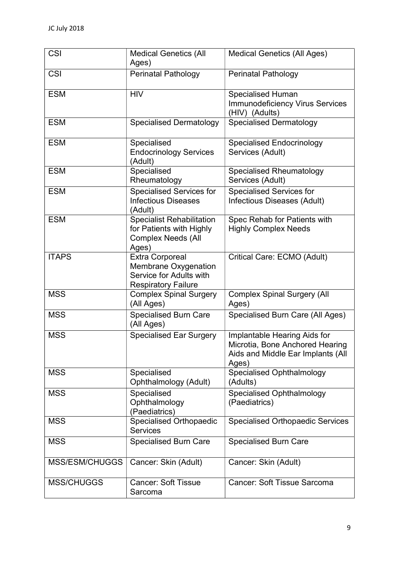| <b>CSI</b>        | <b>Medical Genetics (All</b><br>Ages)                                                                   | <b>Medical Genetics (All Ages)</b>                                                                            |
|-------------------|---------------------------------------------------------------------------------------------------------|---------------------------------------------------------------------------------------------------------------|
| <b>CSI</b>        | <b>Perinatal Pathology</b>                                                                              | <b>Perinatal Pathology</b>                                                                                    |
| <b>ESM</b>        | <b>HIV</b>                                                                                              | <b>Specialised Human</b><br><b>Immunodeficiency Virus Services</b><br>(HIV) (Adults)                          |
| <b>ESM</b>        | <b>Specialised Dermatology</b>                                                                          | <b>Specialised Dermatology</b>                                                                                |
| <b>ESM</b>        | Specialised<br><b>Endocrinology Services</b><br>(Adult)                                                 | <b>Specialised Endocrinology</b><br>Services (Adult)                                                          |
| <b>ESM</b>        | Specialised<br>Rheumatology                                                                             | <b>Specialised Rheumatology</b><br>Services (Adult)                                                           |
| <b>ESM</b>        | <b>Specialised Services for</b><br><b>Infectious Diseases</b><br>(Adult)                                | <b>Specialised Services for</b><br>Infectious Diseases (Adult)                                                |
| <b>ESM</b>        | <b>Specialist Rehabilitation</b><br>for Patients with Highly<br><b>Complex Needs (All</b><br>Ages)      | Spec Rehab for Patients with<br><b>Highly Complex Needs</b>                                                   |
| <b>ITAPS</b>      | <b>Extra Corporeal</b><br>Membrane Oxygenation<br>Service for Adults with<br><b>Respiratory Failure</b> | Critical Care: ECMO (Adult)                                                                                   |
| <b>MSS</b>        | <b>Complex Spinal Surgery</b><br>(All Ages)                                                             | <b>Complex Spinal Surgery (All</b><br>Ages)                                                                   |
| <b>MSS</b>        | <b>Specialised Burn Care</b><br>(All Ages)                                                              | Specialised Burn Care (All Ages)                                                                              |
| <b>MSS</b>        | <b>Specialised Ear Surgery</b>                                                                          | Implantable Hearing Aids for<br>Microtia, Bone Anchored Hearing<br>Aids and Middle Ear Implants (All<br>Ages) |
| <b>MSS</b>        | Specialised<br>Ophthalmology (Adult)                                                                    | <b>Specialised Ophthalmology</b><br>(Adults)                                                                  |
| <b>MSS</b>        | Specialised<br>Ophthalmology<br>(Paediatrics)                                                           | <b>Specialised Ophthalmology</b><br>(Paediatrics)                                                             |
| <b>MSS</b>        | <b>Specialised Orthopaedic</b><br><b>Services</b>                                                       | <b>Specialised Orthopaedic Services</b>                                                                       |
| <b>MSS</b>        | <b>Specialised Burn Care</b>                                                                            | <b>Specialised Burn Care</b>                                                                                  |
| MSS/ESM/CHUGGS    | Cancer: Skin (Adult)                                                                                    | Cancer: Skin (Adult)                                                                                          |
| <b>MSS/CHUGGS</b> | <b>Cancer: Soft Tissue</b><br>Sarcoma                                                                   | <b>Cancer: Soft Tissue Sarcoma</b>                                                                            |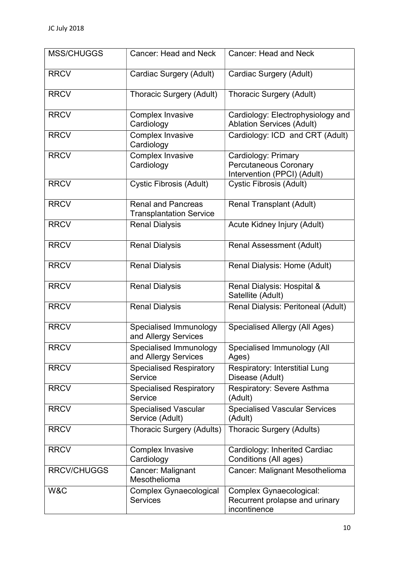| <b>MSS/CHUGGS</b>  | Cancer: Head and Neck                                       | <b>Cancer: Head and Neck</b>                                                       |
|--------------------|-------------------------------------------------------------|------------------------------------------------------------------------------------|
| <b>RRCV</b>        | Cardiac Surgery (Adult)                                     | Cardiac Surgery (Adult)                                                            |
| <b>RRCV</b>        | <b>Thoracic Surgery (Adult)</b>                             | <b>Thoracic Surgery (Adult)</b>                                                    |
| <b>RRCV</b>        | <b>Complex Invasive</b><br>Cardiology                       | Cardiology: Electrophysiology and<br><b>Ablation Services (Adult)</b>              |
| <b>RRCV</b>        | <b>Complex Invasive</b><br>Cardiology                       | Cardiology: ICD and CRT (Adult)                                                    |
| <b>RRCV</b>        | <b>Complex Invasive</b><br>Cardiology                       | Cardiology: Primary<br><b>Percutaneous Coronary</b><br>Intervention (PPCI) (Adult) |
| <b>RRCV</b>        | <b>Cystic Fibrosis (Adult)</b>                              | <b>Cystic Fibrosis (Adult)</b>                                                     |
| <b>RRCV</b>        | <b>Renal and Pancreas</b><br><b>Transplantation Service</b> | <b>Renal Transplant (Adult)</b>                                                    |
| <b>RRCV</b>        | <b>Renal Dialysis</b>                                       | Acute Kidney Injury (Adult)                                                        |
| <b>RRCV</b>        | <b>Renal Dialysis</b>                                       | <b>Renal Assessment (Adult)</b>                                                    |
| <b>RRCV</b>        | <b>Renal Dialysis</b>                                       | Renal Dialysis: Home (Adult)                                                       |
| <b>RRCV</b>        | <b>Renal Dialysis</b>                                       | Renal Dialysis: Hospital &<br>Satellite (Adult)                                    |
| <b>RRCV</b>        | <b>Renal Dialysis</b>                                       | Renal Dialysis: Peritoneal (Adult)                                                 |
| <b>RRCV</b>        | Specialised Immunology<br>and Allergy Services              | Specialised Allergy (All Ages)                                                     |
| <b>RRCV</b>        | Specialised Immunology<br>and Allergy Services              | Specialised Immunology (All<br>Ages)                                               |
| <b>RRCV</b>        | <b>Specialised Respiratory</b><br>Service                   | <b>Respiratory: Interstitial Lung</b><br>Disease (Adult)                           |
| <b>RRCV</b>        | <b>Specialised Respiratory</b><br>Service                   | Respiratory: Severe Asthma<br>(Adult)                                              |
| <b>RRCV</b>        | <b>Specialised Vascular</b><br>Service (Adult)              | <b>Specialised Vascular Services</b><br>(Adult)                                    |
| <b>RRCV</b>        | Thoracic Surgery (Adults)                                   | <b>Thoracic Surgery (Adults)</b>                                                   |
| <b>RRCV</b>        | <b>Complex Invasive</b><br>Cardiology                       | Cardiology: Inherited Cardiac<br>Conditions (All ages)                             |
| <b>RRCV/CHUGGS</b> | Cancer: Malignant<br>Mesothelioma                           | Cancer: Malignant Mesothelioma                                                     |
| W&C                | <b>Complex Gynaecological</b><br><b>Services</b>            | Complex Gynaecological:<br>Recurrent prolapse and urinary<br>incontinence          |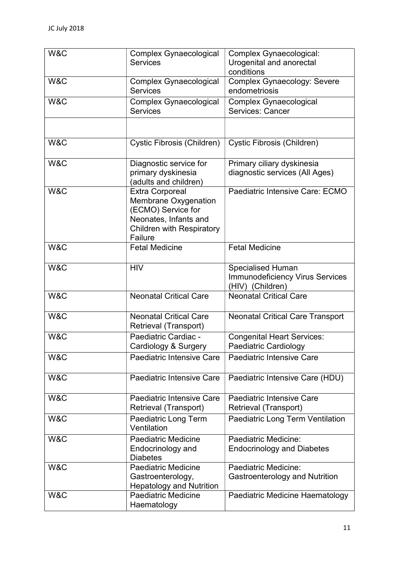| W&C | Complex Gynaecological<br><b>Services</b>                                                                                                    | Complex Gynaecological:<br>Urogenital and anorectal                                    |
|-----|----------------------------------------------------------------------------------------------------------------------------------------------|----------------------------------------------------------------------------------------|
| W&C | <b>Complex Gynaecological</b><br><b>Services</b>                                                                                             | conditions<br><b>Complex Gynaecology: Severe</b><br>endometriosis                      |
| W&C | Complex Gynaecological<br><b>Services</b>                                                                                                    | <b>Complex Gynaecological</b><br><b>Services: Cancer</b>                               |
|     |                                                                                                                                              |                                                                                        |
| W&C | Cystic Fibrosis (Children)                                                                                                                   | Cystic Fibrosis (Children)                                                             |
| W&C | Diagnostic service for<br>primary dyskinesia<br>(adults and children)                                                                        | Primary ciliary dyskinesia<br>diagnostic services (All Ages)                           |
| W&C | <b>Extra Corporeal</b><br>Membrane Oxygenation<br>(ECMO) Service for<br>Neonates, Infants and<br><b>Children with Respiratory</b><br>Failure | Paediatric Intensive Care: ECMO                                                        |
| W&C | <b>Fetal Medicine</b>                                                                                                                        | <b>Fetal Medicine</b>                                                                  |
| W&C | <b>HIV</b>                                                                                                                                   | <b>Specialised Human</b><br><b>Immunodeficiency Virus Services</b><br>(HIV) (Children) |
| W&C | <b>Neonatal Critical Care</b>                                                                                                                | <b>Neonatal Critical Care</b>                                                          |
| W&C | <b>Neonatal Critical Care</b><br>Retrieval (Transport)                                                                                       | <b>Neonatal Critical Care Transport</b>                                                |
| W&C | Paediatric Cardiac -<br>Cardiology & Surgery                                                                                                 | <b>Congenital Heart Services:</b><br>Paediatric Cardiology                             |
| W&C | Paediatric Intensive Care                                                                                                                    | <b>Paediatric Intensive Care</b>                                                       |
| W&C | Paediatric Intensive Care                                                                                                                    | Paediatric Intensive Care (HDU)                                                        |
| W&C | <b>Paediatric Intensive Care</b><br>Retrieval (Transport)                                                                                    | <b>Paediatric Intensive Care</b><br>Retrieval (Transport)                              |
| W&C | Paediatric Long Term<br>Ventilation                                                                                                          | <b>Paediatric Long Term Ventilation</b>                                                |
| W&C | <b>Paediatric Medicine</b><br>Endocrinology and<br><b>Diabetes</b>                                                                           | Paediatric Medicine:<br><b>Endocrinology and Diabetes</b>                              |
| W&C | <b>Paediatric Medicine</b><br>Gastroenterology,<br><b>Hepatology and Nutrition</b>                                                           | Paediatric Medicine:<br>Gastroenterology and Nutrition                                 |
| W&C | Paediatric Medicine<br>Haematology                                                                                                           | Paediatric Medicine Haematology                                                        |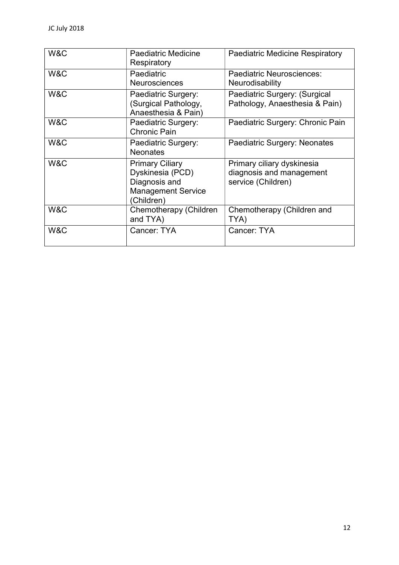| W&C | <b>Paediatric Medicine</b><br>Respiratory                                                              | <b>Paediatric Medicine Respiratory</b>                                       |
|-----|--------------------------------------------------------------------------------------------------------|------------------------------------------------------------------------------|
| W&C | Paediatric<br><b>Neurosciences</b>                                                                     | Paediatric Neurosciences:<br>Neurodisability                                 |
| W&C | Paediatric Surgery:<br>(Surgical Pathology,<br>Anaesthesia & Pain)                                     | Paediatric Surgery: (Surgical<br>Pathology, Anaesthesia & Pain)              |
| W&C | Paediatric Surgery:<br>Chronic Pain                                                                    | Paediatric Surgery: Chronic Pain                                             |
| W&C | Paediatric Surgery:<br><b>Neonates</b>                                                                 | Paediatric Surgery: Neonates                                                 |
| W&C | <b>Primary Ciliary</b><br>Dyskinesia (PCD)<br>Diagnosis and<br><b>Management Service</b><br>(Children) | Primary ciliary dyskinesia<br>diagnosis and management<br>service (Children) |
| W&C | Chemotherapy (Children<br>and TYA)                                                                     | Chemotherapy (Children and<br>TYA)                                           |
| W&C | Cancer: TYA                                                                                            | Cancer: TYA                                                                  |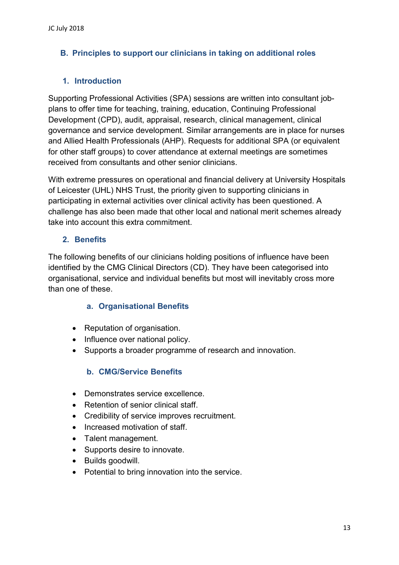# B. Principles to support our clinicians in taking on additional roles

# 1. Introduction

Supporting Professional Activities (SPA) sessions are written into consultant jobplans to offer time for teaching, training, education, Continuing Professional Development (CPD), audit, appraisal, research, clinical management, clinical governance and service development. Similar arrangements are in place for nurses and Allied Health Professionals (AHP). Requests for additional SPA (or equivalent for other staff groups) to cover attendance at external meetings are sometimes received from consultants and other senior clinicians.

With extreme pressures on operational and financial delivery at University Hospitals of Leicester (UHL) NHS Trust, the priority given to supporting clinicians in participating in external activities over clinical activity has been questioned. A challenge has also been made that other local and national merit schemes already take into account this extra commitment.

# 2. Benefits

The following benefits of our clinicians holding positions of influence have been identified by the CMG Clinical Directors (CD). They have been categorised into organisational, service and individual benefits but most will inevitably cross more than one of these.

#### a. Organisational Benefits

- Reputation of organisation.
- Influence over national policy.
- Supports a broader programme of research and innovation.

# b. CMG/Service Benefits

- Demonstrates service excellence
- Retention of senior clinical staff.
- Credibility of service improves recruitment.
- Increased motivation of staff.
- Talent management.
- Supports desire to innovate.
- Builds goodwill.
- Potential to bring innovation into the service.